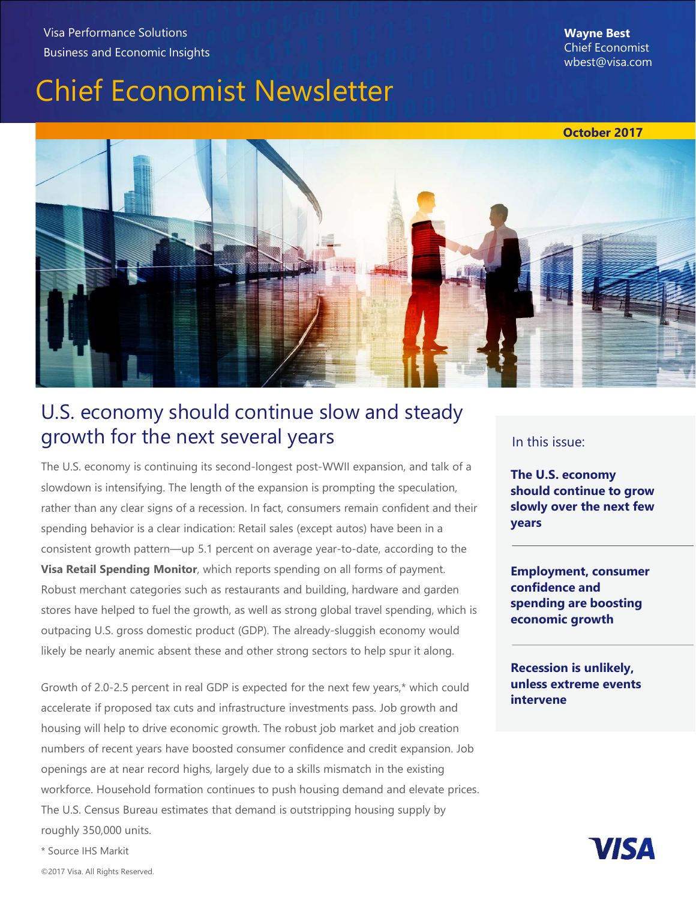# Chief Economist Newsletter



### U.S. economy should continue slow and steady growth for the next several years

The U.S. economy is continuing its second-longest post-WWII expansion, and talk of a slowdown is intensifying. The length of the expansion is prompting the speculation, rather than any clear signs of a recession. In fact, consumers remain confident and their spending behavior is a clear indication: Retail sales (except autos) have been in a consistent growth pattern—up 5.1 percent on average year-to-date, according to the **Visa Retail Spending Monitor**, which reports spending on all forms of payment. Robust merchant categories such as restaurants and building, hardware and garden stores have helped to fuel the growth, as well as strong global travel spending, which is outpacing U.S. gross domestic product (GDP). The already-sluggish economy would likely be nearly anemic absent these and other strong sectors to help spur it along.

Growth of 2.0-2.5 percent in real GDP is expected for the next few years,\* which could accelerate if proposed tax cuts and infrastructure investments pass. Job growth and housing will help to drive economic growth. The robust job market and job creation numbers of recent years have boosted consumer confidence and credit expansion. Job openings are at near record highs, largely due to a skills mismatch in the existing workforce. Household formation continues to push housing demand and elevate prices. The U.S. Census Bureau estimates that demand is outstripping housing supply by roughly 350,000 units.

#### In this issue:

The U.S. economy should continue to grow slowly over the next few years

Employment, consumer confidence and spending are boosting economic growth

Recession is unlikely, unless extreme events intervene

**VISA** 

\* Source IHS Markit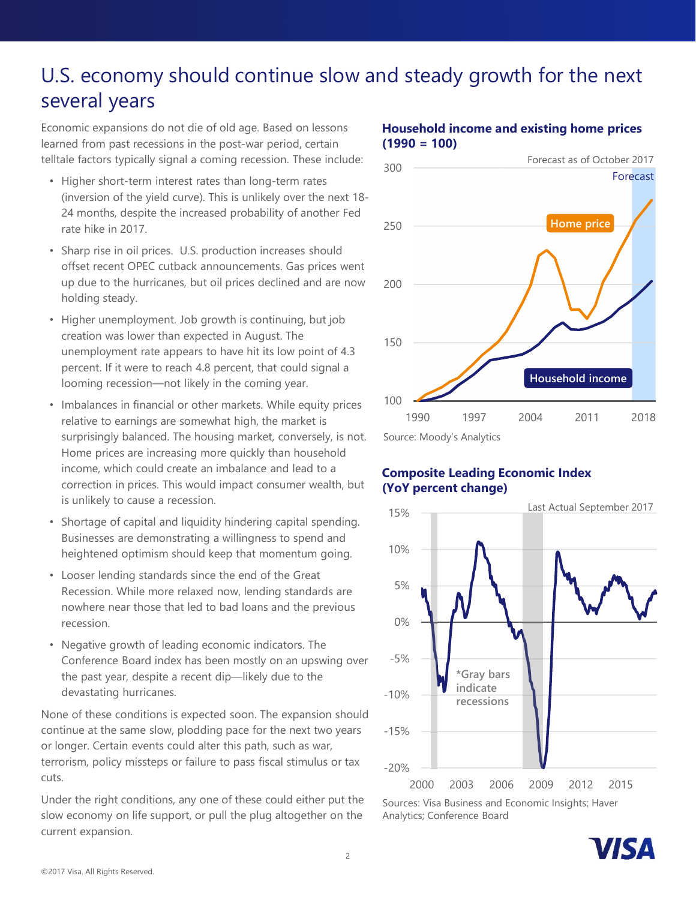## U.S. economy should continue slow and steady growth for the next several years

Economic expansions do not die of old age. Based on lessons learned from past recessions in the post-war period, certain telltale factors typically signal a coming recession. These include: 300

- Higher short-term interest rates than long-term rates (inversion of the yield curve). This is unlikely over the next 18- 24 months, despite the increased probability of another Fed rate hike in 2017.
- Sharp rise in oil prices. U.S. production increases should offset recent OPEC cutback announcements. Gas prices went up due to the hurricanes, but oil prices declined and are now 200 holding steady.
- Higher unemployment. Job growth is continuing, but job creation was lower than expected in August. The unemployment rate appears to have hit its low point of 4.3 percent. If it were to reach 4.8 percent, that could signal a looming recession—not likely in the coming year.
- Imbalances in financial or other markets. While equity prices relative to earnings are somewhat high, the market is surprisingly balanced. The housing market, conversely, is not. Home prices are increasing more quickly than household income, which could create an imbalance and lead to a correction in prices. This would impact consumer wealth, but is unlikely to cause a recession.
- Shortage of capital and liquidity hindering capital spending. Businesses are demonstrating a willingness to spend and<br>heightened ontimism should keep that momentum going and  $10\%$ heightened optimism should keep that momentum going.
- Looser lending standards since the end of the Great Recession. While more relaxed now, lending standards are nowhere near those that led to bad loans and the previous recession.
- Negative growth of leading economic indicators. The Conference Board index has been mostly on an upswing over the past year, despite a recent dip—likely due to the devastating hurricanes.

None of these conditions is expected soon. The expansion should continue at the same slow, plodding pace for the next two years or longer. Certain events could alter this path, such as war, terrorism, policy missteps or failure to pass fiscal stimulus or tax cuts.

Under the right conditions, any one of these could either put the slow economy on life support, or pull the plug altogether on the current expansion.



### Household income and existing home prices  $(1990 = 100)$

### Composite Leading Economic Index (YoY percent change)



Sources: Visa Business and Economic Insights; Haver Analytics; Conference Board